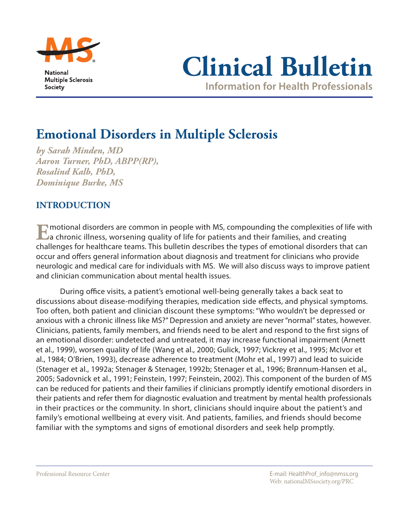



# **Emotional Disorders in Multiple Sclerosis**

*by Sarah Minden, MD Aaron Turner, PhD, ABPP(RP), Rosalind Kalb, PhD, Dominique Burke, MS*

# **INTRODUCTION**

**E**motional disorders are common in people with MS, compounding the complexities of life with a chronic illness, worsening quality of life for patients and their families, and creating challenges for healthcare teams. This bulletin describes the types of emotional disorders that can occur and offers general information about diagnosis and treatment for clinicians who provide neurologic and medical care for individuals with MS. We will also discuss ways to improve patient and clinician communication about mental health issues.

During office visits, a patient's emotional well-being generally takes a back seat to discussions about disease-modifying therapies, medication side effects, and physical symptoms. Too often, both patient and clinician discount these symptoms: "Who wouldn't be depressed or anxious with a chronic illness like MS?" Depression and anxiety are never "normal" states, however. Clinicians, patients, family members, and friends need to be alert and respond to the first signs of an emotional disorder: undetected and untreated, it may increase functional impairment (Arnett et al., 1999), worsen quality of life (Wang et al., 2000; Gulick, 1997; Vickrey et al., 1995; McIvor et al., 1984; O'Brien, 1993), decrease adherence to treatment (Mohr et al., 1997) and lead to suicide (Stenager et al., 1992a; Stenager & Stenager, 1992b; Stenager et al., 1996; Brønnum-Hansen et al., 2005; Sadovnick et al., 1991; Feinstein, 1997; Feinstein, 2002). This component of the burden of MS can be reduced for patients and their families if clinicians promptly identify emotional disorders in their patients and refer them for diagnostic evaluation and treatment by mental health professionals in their practices or the community. In short, clinicians should inquire about the patient's and family's emotional wellbeing at every visit. And patients, families, and friends should become familiar with the symptoms and signs of emotional disorders and seek help promptly.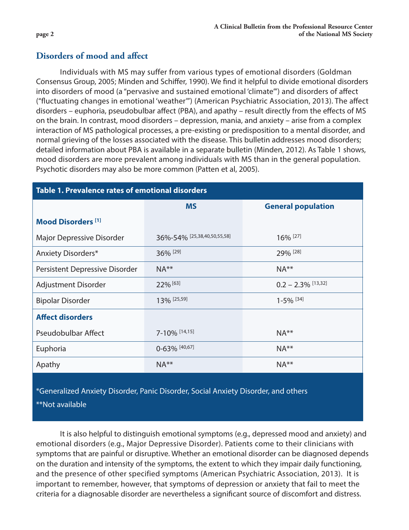# **Disorders of mood and affect**

Individuals with MS may suffer from various types of emotional disorders (Goldman Consensus Group, 2005; Minden and Schiffer, 1990). We find it helpful to divide emotional disorders into disorders of mood (a "pervasive and sustained emotional 'climate'") and disorders of affect ("fluctuating changes in emotional 'weather'") (American Psychiatric Association, 2013). The affect disorders – euphoria, pseudobulbar affect (PBA), and apathy – result directly from the effects of MS on the brain. In contrast, mood disorders – depression, mania, and anxiety – arise from a complex interaction of MS pathological processes, a pre-existing or predisposition to a mental disorder, and normal grieving of the losses associated with the disease. This bulletin addresses mood disorders; detailed information about PBA is available in a separate bulletin (Minden, 2012). As Table 1 shows, mood disorders are more prevalent among individuals with MS than in the general population. Psychotic disorders may also be more common (Patten et al, 2005).

| <b>Table 1. Prevalence rates of emotional disorders</b>                          |                             |                           |
|----------------------------------------------------------------------------------|-----------------------------|---------------------------|
|                                                                                  | <b>MS</b>                   | <b>General population</b> |
| <b>Mood Disorders [1]</b>                                                        |                             |                           |
| Major Depressive Disorder                                                        | 36%-54% [25,38,40,50,55,58] | 16% [27]                  |
| Anxiety Disorders*                                                               | 36% [29]                    | 29% [28]                  |
| Persistent Depressive Disorder                                                   | $NA**$                      | $NA**$                    |
| Adjustment Disorder                                                              | 22% [63]                    | $0.2 - 2.3\%$ [13,32]     |
| <b>Bipolar Disorder</b>                                                          | 13% [25,59]                 | $1-5%$ [34]               |
| <b>Affect disorders</b>                                                          |                             |                           |
| <b>Pseudobulbar Affect</b>                                                       | 7-10% [14,15]               | $NA**$                    |
| Euphoria                                                                         | $0-63\%$ [40,67]            | $NA**$                    |
| Apathy                                                                           | $NA**$                      | $NA**$                    |
| *Conoralized Apviety Disorder Papis Disorder Social Apviety Disorder, and others |                             |                           |

\*Generalized Anxiety Disorder, Panic Disorder, Social Anxiety Disorder, and others

\*\*Not available

It is also helpful to distinguish emotional symptoms (e.g., depressed mood and anxiety) and emotional disorders (e.g., Major Depressive Disorder). Patients come to their clinicians with symptoms that are painful or disruptive. Whether an emotional disorder can be diagnosed depends on the duration and intensity of the symptoms, the extent to which they impair daily functioning, and the presence of other specified symptoms (American Psychiatric Association, 2013). It is important to remember, however, that symptoms of depression or anxiety that fail to meet the criteria for a diagnosable disorder are nevertheless a significant source of discomfort and distress.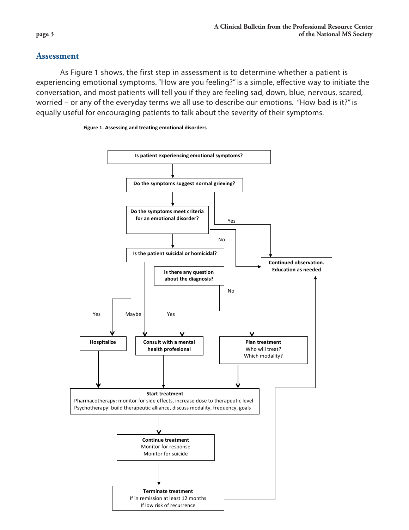## **Assessment**

As Figure 1 shows, the first step in assessment is to determine whether a patient is experiencing emotional symptoms. "How are you feeling?" is a simple, effective way to initiate the conversation, and most patients will tell you if they are feeling sad, down, blue, nervous, scared, worried – or any of the everyday terms we all use to describe our emotions. "How bad is it?" is equally useful for encouraging patients to talk about the severity of their symptoms.

#### **Figure 1. Assessing and treating emotional disorders**

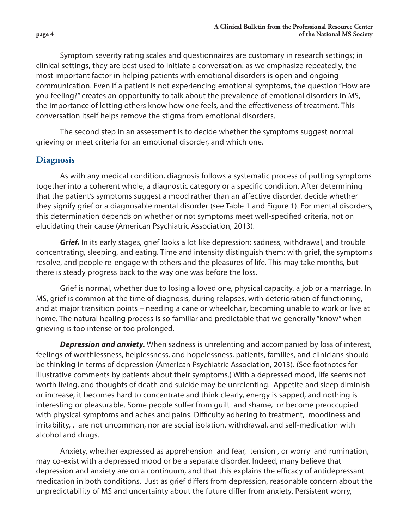Symptom severity rating scales and questionnaires are customary in research settings; in clinical settings, they are best used to initiate a conversation: as we emphasize repeatedly, the most important factor in helping patients with emotional disorders is open and ongoing communication. Even if a patient is not experiencing emotional symptoms, the question "How are you feeling?" creates an opportunity to talk about the prevalence of emotional disorders in MS, the importance of letting others know how one feels, and the effectiveness of treatment. This conversation itself helps remove the stigma from emotional disorders.

The second step in an assessment is to decide whether the symptoms suggest normal grieving or meet criteria for an emotional disorder, and which one.

## **Diagnosis**

As with any medical condition, diagnosis follows a systematic process of putting symptoms together into a coherent whole, a diagnostic category or a specific condition. After determining that the patient's symptoms suggest a mood rather than an affective disorder, decide whether they signify grief or a diagnosable mental disorder (see Table 1 and Figure 1). For mental disorders, this determination depends on whether or not symptoms meet well-specified criteria, not on elucidating their cause (American Psychiatric Association, 2013).

Grief. In its early stages, grief looks a lot like depression: sadness, withdrawal, and trouble concentrating, sleeping, and eating. Time and intensity distinguish them: with grief, the symptoms resolve, and people re-engage with others and the pleasures of life. This may take months, but there is steady progress back to the way one was before the loss.

Grief is normal, whether due to losing a loved one, physical capacity, a job or a marriage. In MS, grief is common at the time of diagnosis, during relapses, with deterioration of functioning, and at major transition points – needing a cane or wheelchair, becoming unable to work or live at home. The natural healing process is so familiar and predictable that we generally "know" when grieving is too intense or too prolonged.

*Depression and anxiety.* When sadness is unrelenting and accompanied by loss of interest, feelings of worthlessness, helplessness, and hopelessness, patients, families, and clinicians should be thinking in terms of depression (American Psychiatric Association, 2013). (See footnotes for illustrative comments by patients about their symptoms.) With a depressed mood, life seems not worth living, and thoughts of death and suicide may be unrelenting. Appetite and sleep diminish or increase, it becomes hard to concentrate and think clearly, energy is sapped, and nothing is interesting or pleasurable. Some people suffer from guilt and shame, or become preoccupied with physical symptoms and aches and pains. Difficulty adhering to treatment, moodiness and irritability, , are not uncommon, nor are social isolation, withdrawal, and self-medication with alcohol and drugs.

Anxiety, whether expressed as apprehension and fear, tension , or worry and rumination, may co-exist with a depressed mood or be a separate disorder. Indeed, many believe that depression and anxiety are on a continuum, and that this explains the efficacy of antidepressant medication in both conditions. Just as grief differs from depression, reasonable concern about the unpredictability of MS and uncertainty about the future differ from anxiety. Persistent worry,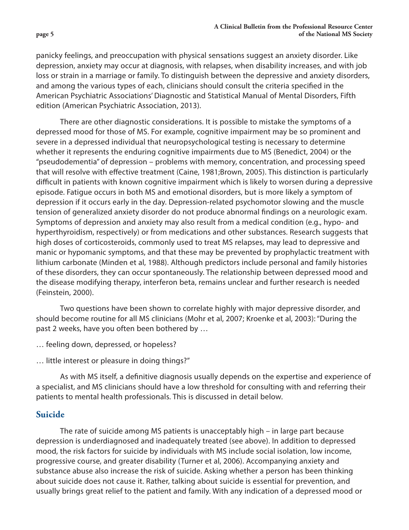panicky feelings, and preoccupation with physical sensations suggest an anxiety disorder. Like depression, anxiety may occur at diagnosis, with relapses, when disability increases, and with job loss or strain in a marriage or family. To distinguish between the depressive and anxiety disorders, and among the various types of each, clinicians should consult the criteria specified in the American Psychiatric Associations' Diagnostic and Statistical Manual of Mental Disorders, Fifth edition (American Psychiatric Association, 2013).

There are other diagnostic considerations. It is possible to mistake the symptoms of a depressed mood for those of MS. For example, cognitive impairment may be so prominent and severe in a depressed individual that neuropsychological testing is necessary to determine whether it represents the enduring cognitive impairments due to MS (Benedict, 2004) or the "pseudodementia" of depression – problems with memory, concentration, and processing speed that will resolve with effective treatment (Caine, 1981;Brown, 2005). This distinction is particularly difficult in patients with known cognitive impairment which is likely to worsen during a depressive episode. Fatigue occurs in both MS and emotional disorders, but is more likely a symptom of depression if it occurs early in the day. Depression-related psychomotor slowing and the muscle tension of generalized anxiety disorder do not produce abnormal findings on a neurologic exam. Symptoms of depression and anxiety may also result from a medical condition (e.g., hypo- and hyperthyroidism, respectively) or from medications and other substances. Research suggests that high doses of corticosteroids, commonly used to treat MS relapses, may lead to depressive and manic or hypomanic symptoms, and that these may be prevented by prophylactic treatment with lithium carbonate (Minden et al, 1988). Although predictors include personal and family histories of these disorders, they can occur spontaneously. The relationship between depressed mood and the disease modifying therapy, interferon beta, remains unclear and further research is needed (Feinstein, 2000).

Two questions have been shown to correlate highly with major depressive disorder, and should become routine for all MS clinicians (Mohr et al, 2007; Kroenke et al, 2003): "During the past 2 weeks, have you often been bothered by …

… feeling down, depressed, or hopeless?

… little interest or pleasure in doing things?"

As with MS itself, a definitive diagnosis usually depends on the expertise and experience of a specialist, and MS clinicians should have a low threshold for consulting with and referring their patients to mental health professionals. This is discussed in detail below.

# **Suicide**

The rate of suicide among MS patients is unacceptably high – in large part because depression is underdiagnosed and inadequately treated (see above). In addition to depressed mood, the risk factors for suicide by individuals with MS include social isolation, low income, progressive course, and greater disability (Turner et al, 2006). Accompanying anxiety and substance abuse also increase the risk of suicide. Asking whether a person has been thinking about suicide does not cause it. Rather, talking about suicide is essential for prevention, and usually brings great relief to the patient and family. With any indication of a depressed mood or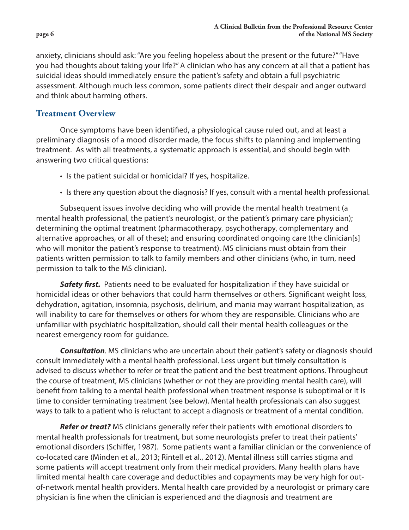anxiety, clinicians should ask: "Are you feeling hopeless about the present or the future?" "Have you had thoughts about taking your life?" A clinician who has any concern at all that a patient has suicidal ideas should immediately ensure the patient's safety and obtain a full psychiatric assessment. Although much less common, some patients direct their despair and anger outward and think about harming others.

## **Treatment Overview**

Once symptoms have been identified, a physiological cause ruled out, and at least a preliminary diagnosis of a mood disorder made, the focus shifts to planning and implementing treatment. As with all treatments, a systematic approach is essential, and should begin with answering two critical questions:

- Is the patient suicidal or homicidal? If yes, hospitalize.
- Is there any question about the diagnosis? If yes, consult with a mental health professional.

Subsequent issues involve deciding who will provide the mental health treatment (a mental health professional, the patient's neurologist, or the patient's primary care physician); determining the optimal treatment (pharmacotherapy, psychotherapy, complementary and alternative approaches, or all of these); and ensuring coordinated ongoing care (the clinician[s] who will monitor the patient's response to treatment). MS clinicians must obtain from their patients written permission to talk to family members and other clinicians (who, in turn, need permission to talk to the MS clinician).

*Safety first.* Patients need to be evaluated for hospitalization if they have suicidal or homicidal ideas or other behaviors that could harm themselves or others. Significant weight loss, dehydration, agitation, insomnia, psychosis, delirium, and mania may warrant hospitalization, as will inability to care for themselves or others for whom they are responsible. Clinicians who are unfamiliar with psychiatric hospitalization, should call their mental health colleagues or the nearest emergency room for guidance.

*Consultation*. MS clinicians who are uncertain about their patient's safety or diagnosis should consult immediately with a mental health professional. Less urgent but timely consultation is advised to discuss whether to refer or treat the patient and the best treatment options. Throughout the course of treatment, MS clinicians (whether or not they are providing mental health care), will benefit from talking to a mental health professional when treatment response is suboptimal or it is time to consider terminating treatment (see below). Mental health professionals can also suggest ways to talk to a patient who is reluctant to accept a diagnosis or treatment of a mental condition.

*Refer or treat?* MS clinicians generally refer their patients with emotional disorders to mental health professionals for treatment, but some neurologists prefer to treat their patients' emotional disorders (Schiffer, 1987). Some patients want a familiar clinician or the convenience of co-located care (Minden et al., 2013; Rintell et al., 2012). Mental illness still carries stigma and some patients will accept treatment only from their medical providers. Many health plans have limited mental health care coverage and deductibles and copayments may be very high for outof-network mental health providers. Mental health care provided by a neurologist or primary care physician is fine when the clinician is experienced and the diagnosis and treatment are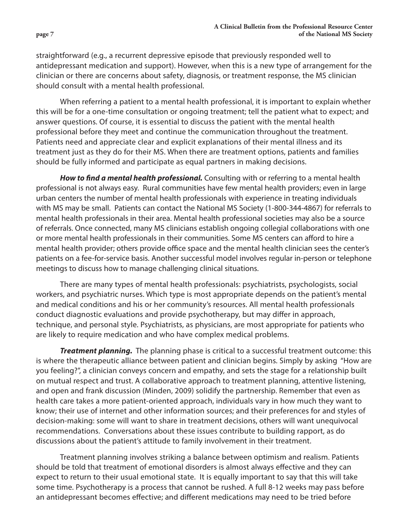straightforward (e.g., a recurrent depressive episode that previously responded well to antidepressant medication and support). However, when this is a new type of arrangement for the clinician or there are concerns about safety, diagnosis, or treatment response, the MS clinician should consult with a mental health professional.

When referring a patient to a mental health professional, it is important to explain whether this will be for a one-time consultation or ongoing treatment; tell the patient what to expect; and answer questions. Of course, it is essential to discuss the patient with the mental health professional before they meet and continue the communication throughout the treatment. Patients need and appreciate clear and explicit explanations of their mental illness and its treatment just as they do for their MS. When there are treatment options, patients and families should be fully informed and participate as equal partners in making decisions.

*How to find a mental health professional.* Consulting with or referring to a mental health professional is not always easy. Rural communities have few mental health providers; even in large urban centers the number of mental health professionals with experience in treating individuals with MS may be small. Patients can contact the National MS Society (1-800-344-4867) for referrals to mental health professionals in their area. Mental health professional societies may also be a source of referrals. Once connected, many MS clinicians establish ongoing collegial collaborations with one or more mental health professionals in their communities. Some MS centers can afford to hire a mental health provider; others provide office space and the mental health clinician sees the center's patients on a fee-for-service basis. Another successful model involves regular in-person or telephone meetings to discuss how to manage challenging clinical situations.

There are many types of mental health professionals: psychiatrists, psychologists, social workers, and psychiatric nurses. Which type is most appropriate depends on the patient's mental and medical conditions and his or her community's resources. All mental health professionals conduct diagnostic evaluations and provide psychotherapy, but may differ in approach, technique, and personal style. Psychiatrists, as physicians, are most appropriate for patients who are likely to require medication and who have complex medical problems.

*Treatment planning.* The planning phase is critical to a successful treatment outcome: this is where the therapeutic alliance between patient and clinician begins. Simply by asking "How are you feeling?", a clinician conveys concern and empathy, and sets the stage for a relationship built on mutual respect and trust. A collaborative approach to treatment planning, attentive listening, and open and frank discussion (Minden, 2009) solidify the partnership. Remember that even as health care takes a more patient-oriented approach, individuals vary in how much they want to know; their use of internet and other information sources; and their preferences for and styles of decision-making: some will want to share in treatment decisions, others will want unequivocal recommendations. Conversations about these issues contribute to building rapport, as do discussions about the patient's attitude to family involvement in their treatment.

Treatment planning involves striking a balance between optimism and realism. Patients should be told that treatment of emotional disorders is almost always effective and they can expect to return to their usual emotional state. It is equally important to say that this will take some time. Psychotherapy is a process that cannot be rushed. A full 8-12 weeks may pass before an antidepressant becomes effective; and different medications may need to be tried before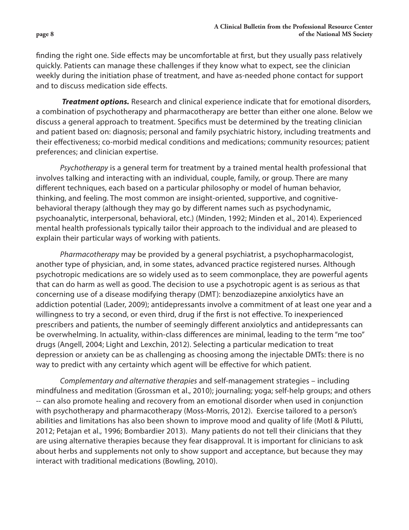finding the right one. Side effects may be uncomfortable at first, but they usually pass relatively quickly. Patients can manage these challenges if they know what to expect, see the clinician weekly during the initiation phase of treatment, and have as-needed phone contact for support and to discuss medication side effects.

**Treatment options.** Research and clinical experience indicate that for emotional disorders, a combination of psychotherapy and pharmacotherapy are better than either one alone. Below we discuss a general approach to treatment. Specifics must be determined by the treating clinician and patient based on: diagnosis; personal and family psychiatric history, including treatments and their effectiveness; co-morbid medical conditions and medications; community resources; patient preferences; and clinician expertise.

*Psychotherapy* is a general term for treatment by a trained mental health professional that involves talking and interacting with an individual, couple, family, or group. There are many different techniques, each based on a particular philosophy or model of human behavior, thinking, and feeling. The most common are insight-oriented, supportive, and cognitivebehavioral therapy (although they may go by different names such as psychodynamic, psychoanalytic, interpersonal, behavioral, etc.) (Minden, 1992; Minden et al., 2014). Experienced mental health professionals typically tailor their approach to the individual and are pleased to explain their particular ways of working with patients.

*Pharmacotherapy* may be provided by a general psychiatrist, a psychopharmacologist, another type of physician, and, in some states, advanced practice registered nurses. Although psychotropic medications are so widely used as to seem commonplace, they are powerful agents that can do harm as well as good. The decision to use a psychotropic agent is as serious as that concerning use of a disease modifying therapy (DMT): benzodiazepine anxiolytics have an addiction potential (Lader, 2009); antidepressants involve a commitment of at least one year and a willingness to try a second, or even third, drug if the first is not effective. To inexperienced prescribers and patients, the number of seemingly different anxiolytics and antidepressants can be overwhelming. In actuality, within-class differences are minimal, leading to the term "me too" drugs (Angell, 2004; Light and Lexchin, 2012). Selecting a particular medication to treat depression or anxiety can be as challenging as choosing among the injectable DMTs: there is no way to predict with any certainty which agent will be effective for which patient.

*Complementary and alternative therapies* and self-management strategies – including mindfulness and meditation (Grossman et al., 2010); journaling; yoga; self-help groups; and others -- can also promote healing and recovery from an emotional disorder when used in conjunction with psychotherapy and pharmacotherapy (Moss-Morris, 2012). Exercise tailored to a person's abilities and limitations has also been shown to improve mood and quality of life (Motl & Pilutti, 2012; Petajan et al., 1996; Bombardier 2013). Many patients do not tell their clinicians that they are using alternative therapies because they fear disapproval. It is important for clinicians to ask about herbs and supplements not only to show support and acceptance, but because they may interact with traditional medications (Bowling, 2010).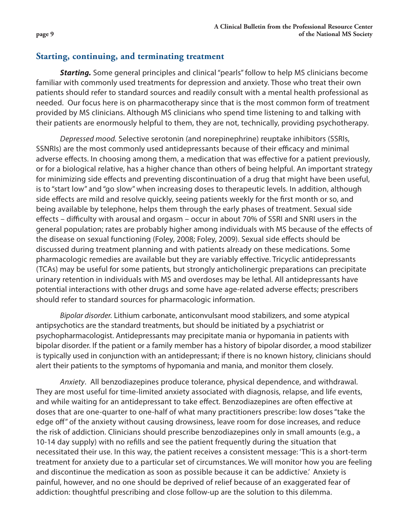## **Starting, continuing, and terminating treatment**

**Starting.** Some general principles and clinical "pearls" follow to help MS clinicians become familiar with commonly used treatments for depression and anxiety. Those who treat their own patients should refer to standard sources and readily consult with a mental health professional as needed. Our focus here is on pharmacotherapy since that is the most common form of treatment provided by MS clinicians. Although MS clinicians who spend time listening to and talking with their patients are enormously helpful to them, they are not, technically, providing psychotherapy.

*Depressed mood.* Selective serotonin (and norepinephrine) reuptake inhibitors (SSRIs, SSNRIs) are the most commonly used antidepressants because of their efficacy and minimal adverse effects. In choosing among them, a medication that was effective for a patient previously, or for a biological relative, has a higher chance than others of being helpful. An important strategy for minimizing side effects and preventing discontinuation of a drug that might have been useful, is to "start low" and "go slow" when increasing doses to therapeutic levels. In addition, although side effects are mild and resolve quickly, seeing patients weekly for the first month or so, and being available by telephone, helps them through the early phases of treatment. Sexual side effects – difficulty with arousal and orgasm – occur in about 70% of SSRI and SNRI users in the general population; rates are probably higher among individuals with MS because of the effects of the disease on sexual functioning (Foley, 2008; Foley, 2009). Sexual side effects should be discussed during treatment planning and with patients already on these medications. Some pharmacologic remedies are available but they are variably effective. Tricyclic antidepressants (TCAs) may be useful for some patients, but strongly anticholinergic preparations can precipitate urinary retention in individuals with MS and overdoses may be lethal. All antidepressants have potential interactions with other drugs and some have age-related adverse effects; prescribers should refer to standard sources for pharmacologic information.

*Bipolar disorder.* Lithium carbonate, anticonvulsant mood stabilizers, and some atypical antipsychotics are the standard treatments, but should be initiated by a psychiatrist or psychopharmacologist. Antidepressants may precipitate mania or hypomania in patients with bipolar disorder. If the patient or a family member has a history of bipolar disorder, a mood stabilizer is typically used in conjunction with an antidepressant; if there is no known history, clinicians should alert their patients to the symptoms of hypomania and mania, and monitor them closely.

*Anxiety*. All benzodiazepines produce tolerance, physical dependence, and withdrawal. They are most useful for time-limited anxiety associated with diagnosis, relapse, and life events, and while waiting for an antidepressant to take effect. Benzodiazepines are often effective at doses that are one-quarter to one-half of what many practitioners prescribe: low doses "take the edge off" of the anxiety without causing drowsiness, leave room for dose increases, and reduce the risk of addiction. Clinicians should prescribe benzodiazepines only in small amounts (e.g., a 10-14 day supply) with no refills and see the patient frequently during the situation that necessitated their use. In this way, the patient receives a consistent message: 'This is a short-term treatment for anxiety due to a particular set of circumstances. We will monitor how you are feeling and discontinue the medication as soon as possible because it can be addictive.' Anxiety is painful, however, and no one should be deprived of relief because of an exaggerated fear of addiction: thoughtful prescribing and close follow-up are the solution to this dilemma.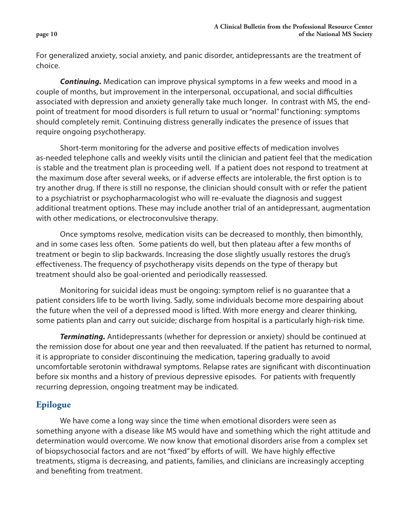**page 10**

For generalized anxiety, social anxiety, and panic disorder, antidepressants are the treatment of choice.

*Continuing.* Medication can improve physical symptoms in a few weeks and mood in a couple of months, but improvement in the interpersonal, occupational, and social difficulties associated with depression and anxiety generally take much longer. In contrast with MS, the endpoint of treatment for mood disorders is full return to usual or "normal" functioning: symptoms should completely remit. Continuing distress generally indicates the presence of issues that require ongoing psychotherapy.

Short-term monitoring for the adverse and positive effects of medication involves as-needed telephone calls and weekly visits until the clinician and patient feel that the medication is stable and the treatment plan is proceeding well. If a patient does not respond to treatment at the maximum dose after several weeks, or if adverse effects are intolerable, the first option is to try another drug. If there is still no response, the clinician should consult with or refer the patient to a psychiatrist or psychopharmacologist who will re-evaluate the diagnosis and suggest additional treatment options. These may include another trial of an antidepressant, augmentation with other medications, or electroconvulsive therapy.

Once symptoms resolve, medication visits can be decreased to monthly, then bimonthly, and in some cases less often. Some patients do well, but then plateau after a few months of treatment or begin to slip backwards. Increasing the dose slightly usually restores the drug's effectiveness. The frequency of psychotherapy visits depends on the type of therapy but treatment should also be goal-oriented and periodically reassessed.

Monitoring for suicidal ideas must be ongoing: symptom relief is no guarantee that a patient considers life to be worth living. Sadly, some individuals become more despairing about the future when the veil of a depressed mood is lifted. With more energy and clearer thinking, some patients plan and carry out suicide; discharge from hospital is a particularly high-risk time.

*Terminating.* Antidepressants (whether for depression or anxiety) should be continued at the remission dose for about one year and then reevaluated. If the patient has returned to normal, it is appropriate to consider discontinuing the medication, tapering gradually to avoid uncomfortable serotonin withdrawal symptoms. Relapse rates are significant with discontinuation before six months and a history of previous depressive episodes. For patients with frequently recurring depression, ongoing treatment may be indicated.

# **Epilogue**

We have come a long way since the time when emotional disorders were seen as something anyone with a disease like MS would have and something which the right attitude and determination would overcome. We now know that emotional disorders arise from a complex set of biopsychosocial factors and are not "fixed" by efforts of will. We have highly effective treatments, stigma is decreasing, and patients, families, and clinicians are increasingly accepting and benefiting from treatment.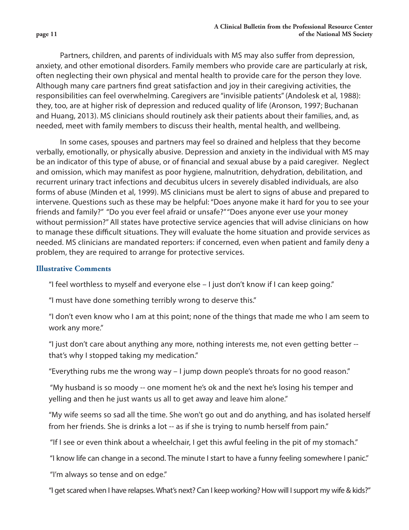Partners, children, and parents of individuals with MS may also suffer from depression, anxiety, and other emotional disorders. Family members who provide care are particularly at risk, often neglecting their own physical and mental health to provide care for the person they love. Although many care partners find great satisfaction and joy in their caregiving activities, the responsibilities can feel overwhelming. Caregivers are "invisible patients" (Andolesk et al, 1988): they, too, are at higher risk of depression and reduced quality of life (Aronson, 1997; Buchanan and Huang, 2013). MS clinicians should routinely ask their patients about their families, and, as needed, meet with family members to discuss their health, mental health, and wellbeing.

In some cases, spouses and partners may feel so drained and helpless that they become verbally, emotionally, or physically abusive. Depression and anxiety in the individual with MS may be an indicator of this type of abuse, or of financial and sexual abuse by a paid caregiver. Neglect and omission, which may manifest as poor hygiene, malnutrition, dehydration, debilitation, and recurrent urinary tract infections and decubitus ulcers in severely disabled individuals, are also forms of abuse (Minden et al, 1999). MS clinicians must be alert to signs of abuse and prepared to intervene. Questions such as these may be helpful: "Does anyone make it hard for you to see your friends and family?" "Do you ever feel afraid or unsafe?" "Does anyone ever use your money without permission?" All states have protective service agencies that will advise clinicians on how to manage these difficult situations. They will evaluate the home situation and provide services as needed. MS clinicians are mandated reporters: if concerned, even when patient and family deny a problem, they are required to arrange for protective services.

### **Illustrative Comments**

"I feel worthless to myself and everyone else – I just don't know if I can keep going."

"I must have done something terribly wrong to deserve this."

 "I don't even know who I am at this point; none of the things that made me who I am seem to work any more."

 "I just don't care about anything any more, nothing interests me, not even getting better - that's why I stopped taking my medication."

"Everything rubs me the wrong way – I jump down people's throats for no good reason."

 "My husband is so moody -- one moment he's ok and the next he's losing his temper and yelling and then he just wants us all to get away and leave him alone."

 "My wife seems so sad all the time. She won't go out and do anything, and has isolated herself from her friends. She is drinks a lot -- as if she is trying to numb herself from pain."

"If I see or even think about a wheelchair, I get this awful feeling in the pit of my stomach."

"I know life can change in a second. The minute I start to have a funny feeling somewhere I panic."

"I'm always so tense and on edge."

"I get scared when I have relapses. What's next? Can I keep working? How will I support my wife & kids?"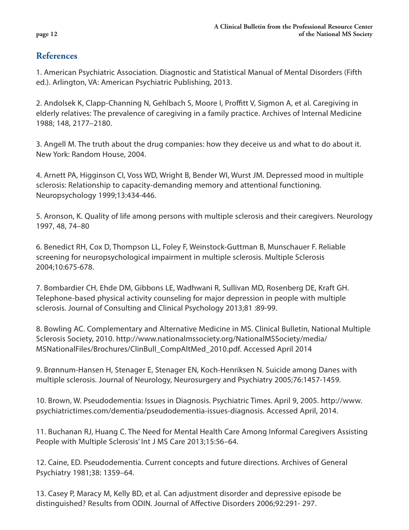**page 12**

# **References**

1. American Psychiatric Association. Diagnostic and Statistical Manual of Mental Disorders (Fifth ed.). Arlington, VA: American Psychiatric Publishing, 2013.

2. Andolsek K, Clapp-Channing N, Gehlbach S, Moore I, Proffitt V, Sigmon A, et al. Caregiving in elderly relatives: The prevalence of caregiving in a family practice. Archives of Internal Medicine 1988; 148, 2177–2180.

3. Angell M. The truth about the drug companies: how they deceive us and what to do about it. New York: Random House, 2004.

4. Arnett PA, Higginson CI, Voss WD, Wright B, Bender WI, Wurst JM. Depressed mood in multiple sclerosis: Relationship to capacity-demanding memory and attentional functioning. Neuropsychology 1999;13:434-446.

5. Aronson, K. Quality of life among persons with multiple sclerosis and their caregivers. Neurology 1997, 48, 74–80

6. Benedict RH, Cox D, Thompson LL, Foley F, Weinstock-Guttman B, Munschauer F. Reliable screening for neuropsychological impairment in multiple sclerosis. Multiple Sclerosis 2004;10:675-678.

7. Bombardier CH, Ehde DM, Gibbons LE, Wadhwani R, Sullivan MD, Rosenberg DE, Kraft GH. Telephone-based physical activity counseling for major depression in people with multiple sclerosis. Journal of Consulting and Clinical Psychology 2013;81 :89-99.

8. Bowling AC. Complementary and Alternative Medicine in MS. Clinical Bulletin, National Multiple Sclerosis Society, 2010. http://www.nationalmssociety.org/NationalMSSociety/media/ MSNationalFiles/Brochures/ClinBull\_CompAltMed\_2010.pdf. Accessed April 2014

9. Brønnum-Hansen H, Stenager E, Stenager EN, Koch-Henriksen N. Suicide among Danes with multiple sclerosis. Journal of Neurology, Neurosurgery and Psychiatry 2005;76:1457-1459.

10. Brown, W. Pseudodementia: Issues in Diagnosis. Psychiatric Times. April 9, 2005. http://www. psychiatrictimes.com/dementia/pseudodementia-issues-diagnosis. Accessed April, 2014.

11. Buchanan RJ, Huang C. The Need for Mental Health Care Among Informal Caregivers Assisting People with Multiple Sclerosis' Int J MS Care 2013;15:56–64.

12. Caine, ED. Pseudodementia. Current concepts and future directions. Archives of General Psychiatry 1981;38: 1359–64.

13. Casey P, Maracy M, Kelly BD, et al. Can adjustment disorder and depressive episode be distinguished? Results from ODIN. Journal of Affective Disorders 2006;92:291- 297.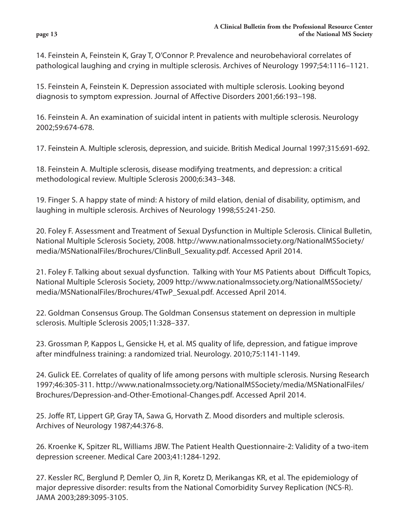14. Feinstein A, Feinstein K, Gray T, O'Connor P. Prevalence and neurobehavioral correlates of pathological laughing and crying in multiple sclerosis. Archives of Neurology 1997;54:1116–1121.

15. Feinstein A, Feinstein K. Depression associated with multiple sclerosis. Looking beyond diagnosis to symptom expression. Journal of Affective Disorders 2001;66:193–198.

16. Feinstein A. An examination of suicidal intent in patients with multiple sclerosis. Neurology 2002;59:674-678.

17. Feinstein A. Multiple sclerosis, depression, and suicide. British Medical Journal 1997;315:691-692.

18. Feinstein A. Multiple sclerosis, disease modifying treatments, and depression: a critical methodological review. Multiple Sclerosis 2000;6:343–348.

19. Finger S. A happy state of mind: A history of mild elation, denial of disability, optimism, and laughing in multiple sclerosis. Archives of Neurology 1998;55:241-250.

20. Foley F. Assessment and Treatment of Sexual Dysfunction in Multiple Sclerosis. Clinical Bulletin, National Multiple Sclerosis Society, 2008. http://www.nationalmssociety.org/NationalMSSociety/ media/MSNationalFiles/Brochures/ClinBull\_Sexuality.pdf. Accessed April 2014.

21. Foley F. Talking about sexual dysfunction. Talking with Your MS Patients about Difficult Topics, National Multiple Sclerosis Society, 2009 http://www.nationalmssociety.org/NationalMSSociety/ media/MSNationalFiles/Brochures/4TwP\_Sexual.pdf. Accessed April 2014.

22. Goldman Consensus Group. The Goldman Consensus statement on depression in multiple sclerosis. Multiple Sclerosis 2005;11:328–337.

23. Grossman P, Kappos L, Gensicke H, et al. MS quality of life, depression, and fatigue improve after mindfulness training: a randomized trial. Neurology. 2010;75:1141-1149.

24. Gulick EE. Correlates of quality of life among persons with multiple sclerosis. Nursing Research 1997;46:305-311. http://www.nationalmssociety.org/NationalMSSociety/media/MSNationalFiles/ Brochures/Depression-and-Other-Emotional-Changes.pdf. Accessed April 2014.

25. Joffe RT, Lippert GP, Gray TA, Sawa G, Horvath Z. Mood disorders and multiple sclerosis. Archives of Neurology 1987;44:376-8.

26. Kroenke K, Spitzer RL, Williams JBW. The Patient Health Questionnaire-2: Validity of a two-item depression screener. Medical Care 2003;41:1284-1292.

27. Kessler RC, Berglund P, Demler O, Jin R, Koretz D, Merikangas KR, et al. The epidemiology of major depressive disorder: results from the National Comorbidity Survey Replication (NCS-R). JAMA 2003;289:3095-3105.

#### **page 13**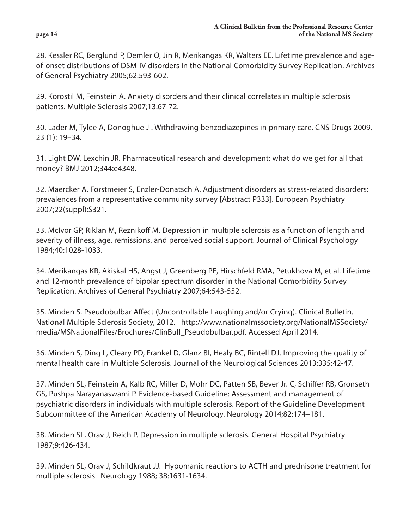28. Kessler RC, Berglund P, Demler O, Jin R, Merikangas KR, Walters EE. Lifetime prevalence and ageof-onset distributions of DSM-IV disorders in the National Comorbidity Survey Replication. Archives of General Psychiatry 2005;62:593-602.

29. Korostil M, Feinstein A. Anxiety disorders and their clinical correlates in multiple sclerosis patients. Multiple Sclerosis 2007;13:67-72.

30. Lader M, Tylee A, Donoghue J . Withdrawing benzodiazepines in primary care. CNS Drugs 2009, 23 (1): 19–34.

31. Light DW, Lexchin JR. Pharmaceutical research and development: what do we get for all that money? BMJ 2012;344:e4348.

32. Maercker A, Forstmeier S, Enzler-Donatsch A. Adjustment disorders as stress-related disorders: prevalences from a representative community survey [Abstract P333]. European Psychiatry 2007;22(suppl):S321.

33. McIvor GP, Riklan M, Reznikoff M. Depression in multiple sclerosis as a function of length and severity of illness, age, remissions, and perceived social support. Journal of Clinical Psychology 1984;40:1028-1033.

34. Merikangas KR, Akiskal HS, Angst J, Greenberg PE, Hirschfeld RMA, Petukhova M, et al. Lifetime and 12-month prevalence of bipolar spectrum disorder in the National Comorbidity Survey Replication. Archives of General Psychiatry 2007;64:543-552.

35. Minden S. Pseudobulbar Affect (Uncontrollable Laughing and/or Crying). Clinical Bulletin. National Multiple Sclerosis Society, 2012. http://www.nationalmssociety.org/NationalMSSociety/ media/MSNationalFiles/Brochures/ClinBull\_Pseudobulbar.pdf. Accessed April 2014.

36. Minden S, Ding L, Cleary PD, Frankel D, Glanz BI, Healy BC, Rintell DJ. Improving the quality of mental health care in Multiple Sclerosis. Journal of the Neurological Sciences 2013;335:42-47.

37. Minden SL, Feinstein A, Kalb RC, Miller D, Mohr DC, Patten SB, Bever Jr. C, Schiffer RB, Gronseth GS, Pushpa Narayanaswami P. Evidence-based Guideline: Assessment and management of psychiatric disorders in individuals with multiple sclerosis. Report of the Guideline Development Subcommittee of the American Academy of Neurology. Neurology 2014;82:174–181.

38. Minden SL, Orav J, Reich P. Depression in multiple sclerosis. General Hospital Psychiatry 1987;9:426-434.

39. Minden SL, Orav J, Schildkraut JJ. Hypomanic reactions to ACTH and prednisone treatment for multiple sclerosis. Neurology 1988; 38:1631-1634.

#### **page 14**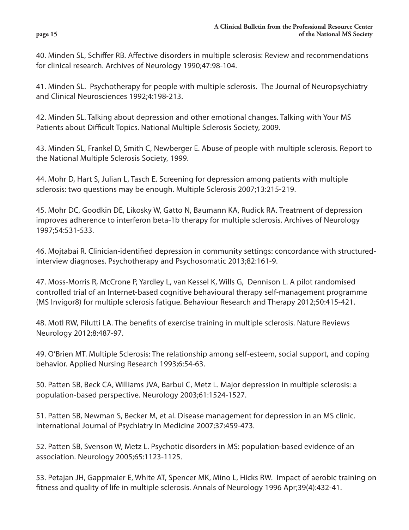40. Minden SL, Schiffer RB. Affective disorders in multiple sclerosis: Review and recommendations for clinical research. Archives of Neurology 1990;47:98-104.

41. Minden SL. Psychotherapy for people with multiple sclerosis. The Journal of Neuropsychiatry and Clinical Neurosciences 1992;4:198-213.

42. Minden SL. Talking about depression and other emotional changes. Talking with Your MS Patients about Difficult Topics. National Multiple Sclerosis Society, 2009.

43. Minden SL, Frankel D, Smith C, Newberger E. Abuse of people with multiple sclerosis. Report to the National Multiple Sclerosis Society, 1999.

44. Mohr D, Hart S, Julian L, Tasch E. Screening for depression among patients with multiple sclerosis: two questions may be enough. Multiple Sclerosis 2007;13:215-219.

45. Mohr DC, Goodkin DE, Likosky W, Gatto N, Baumann KA, Rudick RA. Treatment of depression improves adherence to interferon beta-1b therapy for multiple sclerosis. Archives of Neurology 1997;54:531-533.

46. Mojtabai R. Clinician-identified depression in community settings: concordance with structuredinterview diagnoses. Psychotherapy and Psychosomatic 2013;82:161-9.

47. Moss-Morris R, McCrone P, Yardley L, van Kessel K, Wills G, Dennison L. A pilot randomised controlled trial of an Internet-based cognitive behavioural therapy self-management programme (MS Invigor8) for multiple sclerosis fatigue. Behaviour Research and Therapy 2012;50:415-421.

48. Motl RW, Pilutti LA. The benefits of exercise training in multiple sclerosis. Nature Reviews Neurology 2012;8:487-97.

49. O'Brien MT. Multiple Sclerosis: The relationship among self-esteem, social support, and coping behavior. Applied Nursing Research 1993;6:54-63.

50. Patten SB, Beck CA, Williams JVA, Barbui C, Metz L. Major depression in multiple sclerosis: a population-based perspective. Neurology 2003;61:1524-1527.

51. Patten SB, Newman S, Becker M, et al. Disease management for depression in an MS clinic. International Journal of Psychiatry in Medicine 2007;37:459-473.

52. Patten SB, Svenson W, Metz L. Psychotic disorders in MS: population-based evidence of an association. Neurology 2005;65:1123-1125.

53. Petajan JH, Gappmaier E, White AT, Spencer MK, Mino L, Hicks RW. Impact of aerobic training on fitness and quality of life in multiple sclerosis. Annals of Neurology 1996 Apr;39(4):432-41.

#### **page 15**